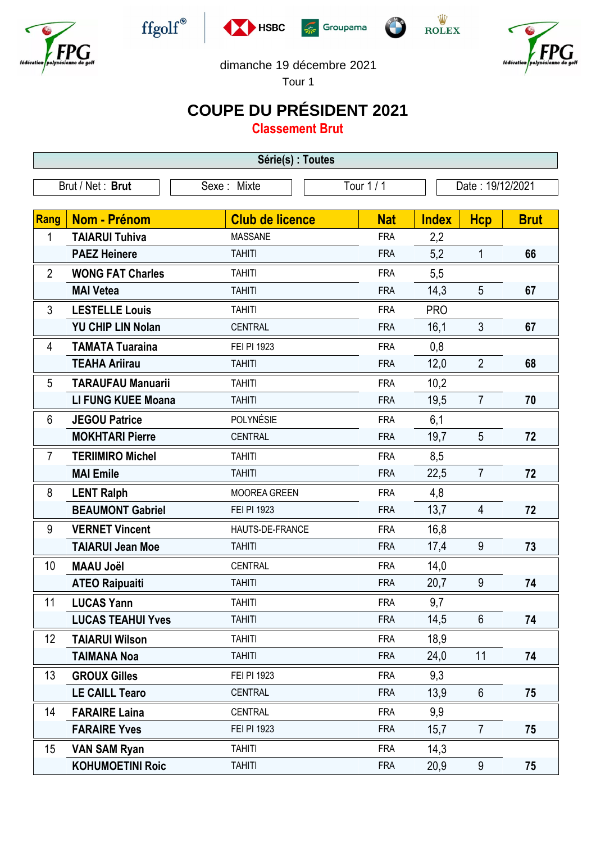











dimanche 19 décembre 2021

Tour 1

## **COUPE DU PRÉSIDENT 2021**

**Classement Brut**

| Série(s) : Toutes |                           |                        |            |                  |                |             |  |
|-------------------|---------------------------|------------------------|------------|------------------|----------------|-------------|--|
|                   | Brut / Net: Brut          | Sexe: Mixte            | Tour 1/1   | Date: 19/12/2021 |                |             |  |
| <b>Rang</b>       | Nom - Prénom              | <b>Club de licence</b> | <b>Nat</b> | <b>Index</b>     | Hcp            | <b>Brut</b> |  |
| 1                 | <b>TAIARUI Tuhiva</b>     | <b>MASSANE</b>         | <b>FRA</b> | 2,2              |                |             |  |
|                   | <b>PAEZ Heinere</b>       | <b>TAHITI</b>          | <b>FRA</b> | 5,2              | 1              | 66          |  |
| $\overline{2}$    | <b>WONG FAT Charles</b>   | <b>TAHITI</b>          | <b>FRA</b> | 5,5              |                |             |  |
|                   | <b>MAI Vetea</b>          | <b>TAHITI</b>          | <b>FRA</b> | 14,3             | 5              | 67          |  |
| 3                 | <b>LESTELLE Louis</b>     | <b>TAHITI</b>          | <b>FRA</b> | <b>PRO</b>       |                |             |  |
|                   | <b>YU CHIP LIN Nolan</b>  | <b>CENTRAL</b>         | <b>FRA</b> | 16,1             | 3              | 67          |  |
| 4                 | <b>TAMATA Tuaraina</b>    | FEI PI 1923            | <b>FRA</b> | 0,8              |                |             |  |
|                   | <b>TEAHA Ariirau</b>      | <b>TAHITI</b>          | <b>FRA</b> | 12,0             | $\overline{2}$ | 68          |  |
| 5                 | <b>TARAUFAU Manuarii</b>  | <b>TAHITI</b>          | <b>FRA</b> | 10,2             |                |             |  |
|                   | <b>LI FUNG KUEE Moana</b> | <b>TAHITI</b>          | <b>FRA</b> | 19,5             | $\overline{7}$ | 70          |  |
| 6                 | <b>JEGOU Patrice</b>      | POLYNÉSIE              | <b>FRA</b> | 6,1              |                |             |  |
|                   | <b>MOKHTARI Pierre</b>    | <b>CENTRAL</b>         | <b>FRA</b> | 19,7             | 5              | 72          |  |
| $\overline{7}$    | <b>TERIIMIRO Michel</b>   | <b>TAHITI</b>          | <b>FRA</b> | 8,5              |                |             |  |
|                   | <b>MAI Emile</b>          | <b>TAHITI</b>          | <b>FRA</b> | 22,5             | $\overline{7}$ | 72          |  |
| 8                 | <b>LENT Ralph</b>         | MOOREA GREEN           | <b>FRA</b> | 4,8              |                |             |  |
|                   | <b>BEAUMONT Gabriel</b>   | FEI PI 1923            | <b>FRA</b> | 13,7             | 4              | 72          |  |
| 9                 | <b>VERNET Vincent</b>     | HAUTS-DE-FRANCE        | <b>FRA</b> | 16,8             |                |             |  |
|                   | <b>TAIARUI Jean Moe</b>   | <b>TAHITI</b>          | <b>FRA</b> | 17,4             | 9              | 73          |  |
| 10                | <b>MAAU Joël</b>          | <b>CENTRAL</b>         | <b>FRA</b> | 14,0             |                |             |  |
|                   | <b>ATEO Raipuaiti</b>     | <b>TAHITI</b>          | <b>FRA</b> | 20,7             | $9\,$          | 74          |  |
| 11                | <b>LUCAS Yann</b>         | <b>TAHITI</b>          | <b>FRA</b> | 9,7              |                |             |  |
|                   | <b>LUCAS TEAHUI Yves</b>  | <b>TAHITI</b>          | <b>FRA</b> | 14,5             | $6\phantom{.}$ | 74          |  |
| 12                | <b>TAIARUI Wilson</b>     | <b>TAHITI</b>          | <b>FRA</b> | 18,9             |                |             |  |
|                   | <b>TAIMANA Noa</b>        | <b>TAHITI</b>          | <b>FRA</b> | 24,0             | 11             | 74          |  |
| 13                | <b>GROUX Gilles</b>       | FEI PI 1923            | <b>FRA</b> | 9,3              |                |             |  |
|                   | <b>LE CAILL Tearo</b>     | CENTRAL                | <b>FRA</b> | 13,9             | 6              | 75          |  |
| 14                | <b>FARAIRE Laina</b>      | <b>CENTRAL</b>         | <b>FRA</b> | 9,9              |                |             |  |
|                   | <b>FARAIRE Yves</b>       | FEI PI 1923            | <b>FRA</b> | 15,7             | $\overline{7}$ | 75          |  |
| 15                | <b>VAN SAM Ryan</b>       | <b>TAHITI</b>          | <b>FRA</b> | 14,3             |                |             |  |
|                   | <b>KOHUMOETINI Roic</b>   | <b>TAHITI</b>          | <b>FRA</b> | 20,9             | 9              | 75          |  |
|                   |                           |                        |            |                  |                |             |  |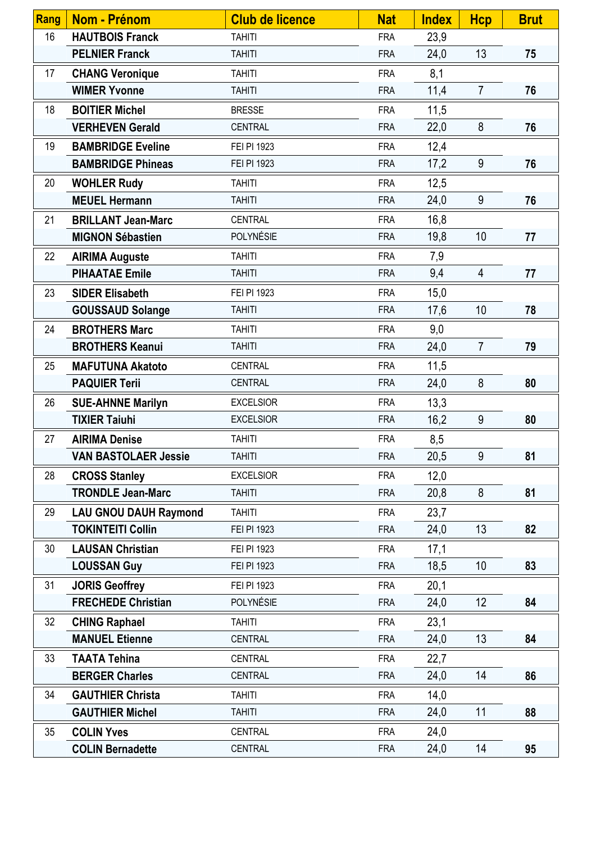| <b>Rang</b> | Nom - Prénom                 | <b>Club de licence</b> | <b>Nat</b> | <b>Index</b> | <b>Hcp</b>      | <b>Brut</b> |
|-------------|------------------------------|------------------------|------------|--------------|-----------------|-------------|
| 16          | <b>HAUTBOIS Franck</b>       | <b>TAHITI</b>          | <b>FRA</b> | 23,9         |                 |             |
|             | <b>PELNIER Franck</b>        | <b>TAHITI</b>          | <b>FRA</b> | 24,0         | 13              | 75          |
| 17          | <b>CHANG Veronique</b>       | <b>TAHITI</b>          | <b>FRA</b> | 8,1          |                 |             |
|             | <b>WIMER Yvonne</b>          | <b>TAHITI</b>          | <b>FRA</b> | 11,4         | $\overline{7}$  | 76          |
| 18          | <b>BOITIER Michel</b>        | <b>BRESSE</b>          | <b>FRA</b> | 11,5         |                 |             |
|             | <b>VERHEVEN Gerald</b>       | <b>CENTRAL</b>         | <b>FRA</b> | 22,0         | 8               | 76          |
| 19          | <b>BAMBRIDGE Eveline</b>     | FEI PI 1923            | <b>FRA</b> | 12,4         |                 |             |
|             | <b>BAMBRIDGE Phineas</b>     | FEI PI 1923            | <b>FRA</b> | 17,2         | 9               | 76          |
| 20          | <b>WOHLER Rudy</b>           | <b>TAHITI</b>          | <b>FRA</b> | 12,5         |                 |             |
|             | <b>MEUEL Hermann</b>         | <b>TAHITI</b>          | <b>FRA</b> | 24,0         | 9               | 76          |
| 21          | <b>BRILLANT Jean-Marc</b>    | CENTRAL                | <b>FRA</b> | 16,8         |                 |             |
|             | <b>MIGNON Sébastien</b>      | POLYNÉSIE              | <b>FRA</b> | 19,8         | 10              | 77          |
| 22          | <b>AIRIMA Auguste</b>        | <b>TAHITI</b>          | <b>FRA</b> | 7,9          |                 |             |
|             | <b>PIHAATAE Emile</b>        | <b>TAHITI</b>          | <b>FRA</b> | 9,4          | $\overline{4}$  | 77          |
| 23          | <b>SIDER Elisabeth</b>       | FEI PI 1923            | <b>FRA</b> | 15,0         |                 |             |
|             | <b>GOUSSAUD Solange</b>      | <b>TAHITI</b>          | <b>FRA</b> | 17,6         | 10              | 78          |
| 24          | <b>BROTHERS Marc</b>         | <b>TAHITI</b>          | <b>FRA</b> | 9,0          |                 |             |
|             | <b>BROTHERS Keanui</b>       | <b>TAHITI</b>          | <b>FRA</b> | 24,0         | $\overline{7}$  | 79          |
| 25          | <b>MAFUTUNA Akatoto</b>      | CENTRAL                | <b>FRA</b> | 11,5         |                 |             |
|             | <b>PAQUIER Terii</b>         | <b>CENTRAL</b>         | <b>FRA</b> | 24,0         | 8               | 80          |
| 26          | <b>SUE-AHNNE Marilyn</b>     | <b>EXCELSIOR</b>       | <b>FRA</b> | 13,3         |                 |             |
|             | <b>TIXIER Taiuhi</b>         | <b>EXCELSIOR</b>       | <b>FRA</b> | 16,2         | 9               | 80          |
| 27          | <b>AIRIMA Denise</b>         | <b>TAHITI</b>          | <b>FRA</b> | 8,5          |                 |             |
|             | <b>VAN BASTOLAER Jessie</b>  | <b>TAHITI</b>          | <b>FRA</b> | 20,5         | 9               | 81          |
| 28          | <b>CROSS Stanley</b>         | <b>EXCELSIOR</b>       | <b>FRA</b> | 12,0         |                 |             |
|             | <b>TRONDLE Jean-Marc</b>     | <b>TAHITI</b>          | <b>FRA</b> | 20,8         | 8               | 81          |
| 29          | <b>LAU GNOU DAUH Raymond</b> | <b>TAHITI</b>          | <b>FRA</b> | 23,7         |                 |             |
|             | <b>TOKINTEITI Collin</b>     | FEI PI 1923            | <b>FRA</b> | 24,0         | 13              | 82          |
| 30          | <b>LAUSAN Christian</b>      | FEI PI 1923            | <b>FRA</b> | 17,1         |                 |             |
|             | <b>LOUSSAN Guy</b>           | FEI PI 1923            | <b>FRA</b> | 18,5         | 10 <sup>°</sup> | 83          |
| 31          | <b>JORIS Geoffrey</b>        | FEI PI 1923            | <b>FRA</b> | 20,1         |                 |             |
|             | <b>FRECHEDE Christian</b>    | <b>POLYNÉSIE</b>       | <b>FRA</b> | 24,0         | 12              | 84          |
| 32          | <b>CHING Raphael</b>         | <b>TAHITI</b>          | <b>FRA</b> | 23,1         |                 |             |
|             | <b>MANUEL Etienne</b>        | CENTRAL                | <b>FRA</b> | 24,0         | 13              | 84          |
| 33          | <b>TAATA Tehina</b>          | <b>CENTRAL</b>         | <b>FRA</b> | 22,7         |                 |             |
|             | <b>BERGER Charles</b>        | CENTRAL                | <b>FRA</b> | 24,0         | 14              | 86          |
| 34          | <b>GAUTHIER Christa</b>      | <b>TAHITI</b>          | <b>FRA</b> | 14,0         |                 |             |
|             | <b>GAUTHIER Michel</b>       | <b>TAHITI</b>          | <b>FRA</b> | 24,0         | 11              | 88          |
| 35          | <b>COLIN Yves</b>            | CENTRAL                | <b>FRA</b> | 24,0         |                 |             |
|             | <b>COLIN Bernadette</b>      | CENTRAL                | <b>FRA</b> | 24,0         | 14              | 95          |